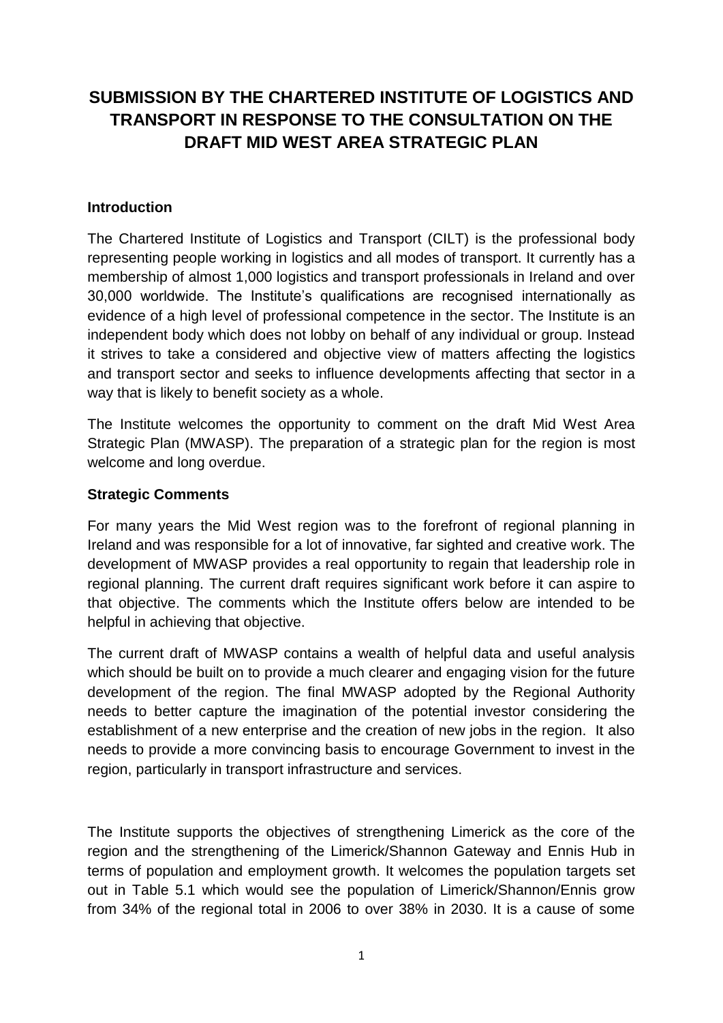## **SUBMISSION BY THE CHARTERED INSTITUTE OF LOGISTICS AND TRANSPORT IN RESPONSE TO THE CONSULTATION ON THE DRAFT MID WEST AREA STRATEGIC PLAN**

## **Introduction**

The Chartered Institute of Logistics and Transport (CILT) is the professional body representing people working in logistics and all modes of transport. It currently has a membership of almost 1,000 logistics and transport professionals in Ireland and over 30,000 worldwide. The Institute's qualifications are recognised internationally as evidence of a high level of professional competence in the sector. The Institute is an independent body which does not lobby on behalf of any individual or group. Instead it strives to take a considered and objective view of matters affecting the logistics and transport sector and seeks to influence developments affecting that sector in a way that is likely to benefit society as a whole.

The Institute welcomes the opportunity to comment on the draft Mid West Area Strategic Plan (MWASP). The preparation of a strategic plan for the region is most welcome and long overdue.

## **Strategic Comments**

For many years the Mid West region was to the forefront of regional planning in Ireland and was responsible for a lot of innovative, far sighted and creative work. The development of MWASP provides a real opportunity to regain that leadership role in regional planning. The current draft requires significant work before it can aspire to that objective. The comments which the Institute offers below are intended to be helpful in achieving that objective.

The current draft of MWASP contains a wealth of helpful data and useful analysis which should be built on to provide a much clearer and engaging vision for the future development of the region. The final MWASP adopted by the Regional Authority needs to better capture the imagination of the potential investor considering the establishment of a new enterprise and the creation of new jobs in the region. It also needs to provide a more convincing basis to encourage Government to invest in the region, particularly in transport infrastructure and services.

The Institute supports the objectives of strengthening Limerick as the core of the region and the strengthening of the Limerick/Shannon Gateway and Ennis Hub in terms of population and employment growth. It welcomes the population targets set out in Table 5.1 which would see the population of Limerick/Shannon/Ennis grow from 34% of the regional total in 2006 to over 38% in 2030. It is a cause of some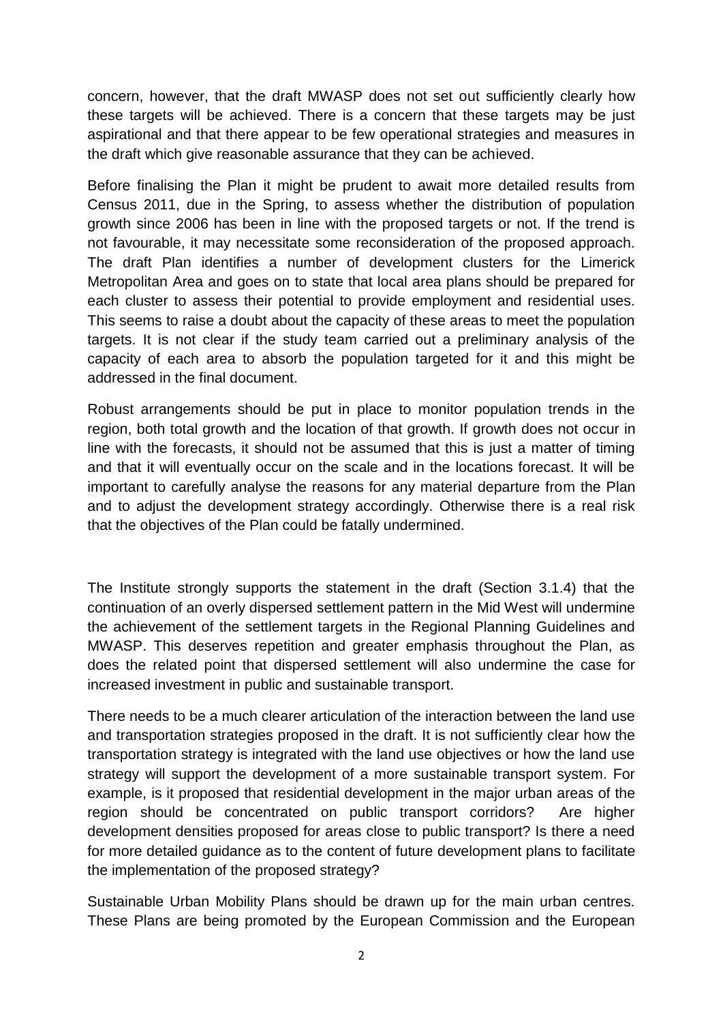concern, however, that the draft MWASP does not set out sufficiently clearly how these targets will be achieved. There is a concern that these targets may be just aspirational and that there appear to be few operational strategies and measures in the draft which give reasonable assurance that they can be achieved.

Before finalising the Plan it might be prudent to await more detailed results from Census 2011, due in the Spring, to assess whether the distribution of population growth since 2006 has been in line with the proposed targets or not. If the trend is not favourable, it may necessitate some reconsideration of the proposed approach. The draft Plan identifies a number of development clusters for the Limerick Metropolitan Area and goes on to state that local area plans should be prepared for each cluster to assess their potential to provide employment and residential uses. This seems to raise a doubt about the capacity of these areas to meet the population targets. It is not clear if the study team carried out a preliminary analysis of the capacity of each area to absorb the population targeted for it and this might be addressed in the final document.

Robust arrangements should be put in place to monitor population trends in the region, both total growth and the location of that growth. If growth does not occur in line with the forecasts, it should not be assumed that this is just a matter of timing and that it will eventually occur on the scale and in the locations forecast. It will be important to carefully analyse the reasons for any material departure from the Plan and to adjust the development strategy accordingly. Otherwise there is a real risk that the objectives of the Plan could be fatally undermined.

The Institute strongly supports the statement in the draft (Section 3.1.4) that the continuation of an overly dispersed settlement pattern in the Mid West will undermine the achievement of the settlement targets in the Regional Planning Guidelines and MWASP. This deserves repetition and greater emphasis throughout the Plan, as does the related point that dispersed settlement will also undermine the case for increased investment in public and sustainable transport.

There needs to be a much clearer articulation of the interaction between the land use and transportation strategies proposed in the draft. It is not sufficiently clear how the transportation strategy is integrated with the land use objectives or how the land use strategy will support the development of a more sustainable transport system. For example, is it proposed that residential development in the major urban areas of the region should be concentrated on public transport corridors? Are higher development densities proposed for areas close to public transport? Is there a need for more detailed guidance as to the content of future development plans to facilitate the implementation of the proposed strategy?

Sustainable Urban Mobility Plans should be drawn up for the main urban centres. These Plans are being promoted by the European Commission and the European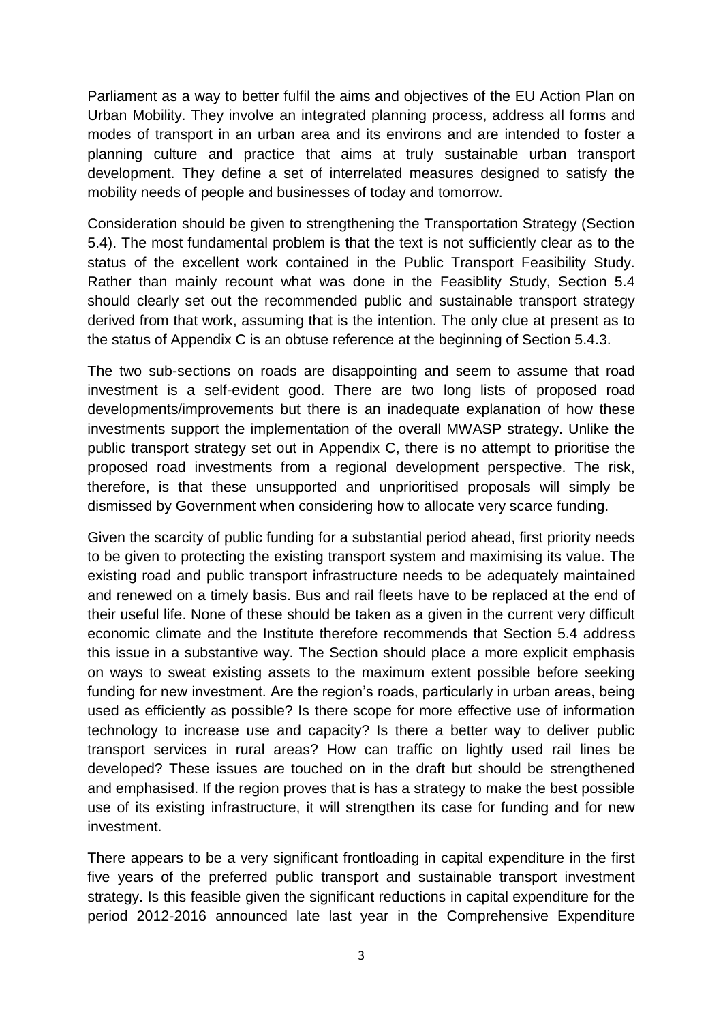Parliament as a way to better fulfil the aims and objectives of the EU Action Plan on Urban Mobility. They involve an integrated planning process, address all forms and modes of transport in an urban area and its environs and are intended to foster a planning culture and practice that aims at truly sustainable urban transport development. They define a set of interrelated measures designed to satisfy the mobility needs of people and businesses of today and tomorrow.

Consideration should be given to strengthening the Transportation Strategy (Section 5.4). The most fundamental problem is that the text is not sufficiently clear as to the status of the excellent work contained in the Public Transport Feasibility Study. Rather than mainly recount what was done in the Feasiblity Study, Section 5.4 should clearly set out the recommended public and sustainable transport strategy derived from that work, assuming that is the intention. The only clue at present as to the status of Appendix C is an obtuse reference at the beginning of Section 5.4.3.

The two sub-sections on roads are disappointing and seem to assume that road investment is a self-evident good. There are two long lists of proposed road developments/improvements but there is an inadequate explanation of how these investments support the implementation of the overall MWASP strategy. Unlike the public transport strategy set out in Appendix C, there is no attempt to prioritise the proposed road investments from a regional development perspective. The risk, therefore, is that these unsupported and unprioritised proposals will simply be dismissed by Government when considering how to allocate very scarce funding.

Given the scarcity of public funding for a substantial period ahead, first priority needs to be given to protecting the existing transport system and maximising its value. The existing road and public transport infrastructure needs to be adequately maintained and renewed on a timely basis. Bus and rail fleets have to be replaced at the end of their useful life. None of these should be taken as a given in the current very difficult economic climate and the Institute therefore recommends that Section 5.4 address this issue in a substantive way. The Section should place a more explicit emphasis on ways to sweat existing assets to the maximum extent possible before seeking funding for new investment. Are the region's roads, particularly in urban areas, being used as efficiently as possible? Is there scope for more effective use of information technology to increase use and capacity? Is there a better way to deliver public transport services in rural areas? How can traffic on lightly used rail lines be developed? These issues are touched on in the draft but should be strengthened and emphasised. If the region proves that is has a strategy to make the best possible use of its existing infrastructure, it will strengthen its case for funding and for new investment.

There appears to be a very significant frontloading in capital expenditure in the first five years of the preferred public transport and sustainable transport investment strategy. Is this feasible given the significant reductions in capital expenditure for the period 2012-2016 announced late last year in the Comprehensive Expenditure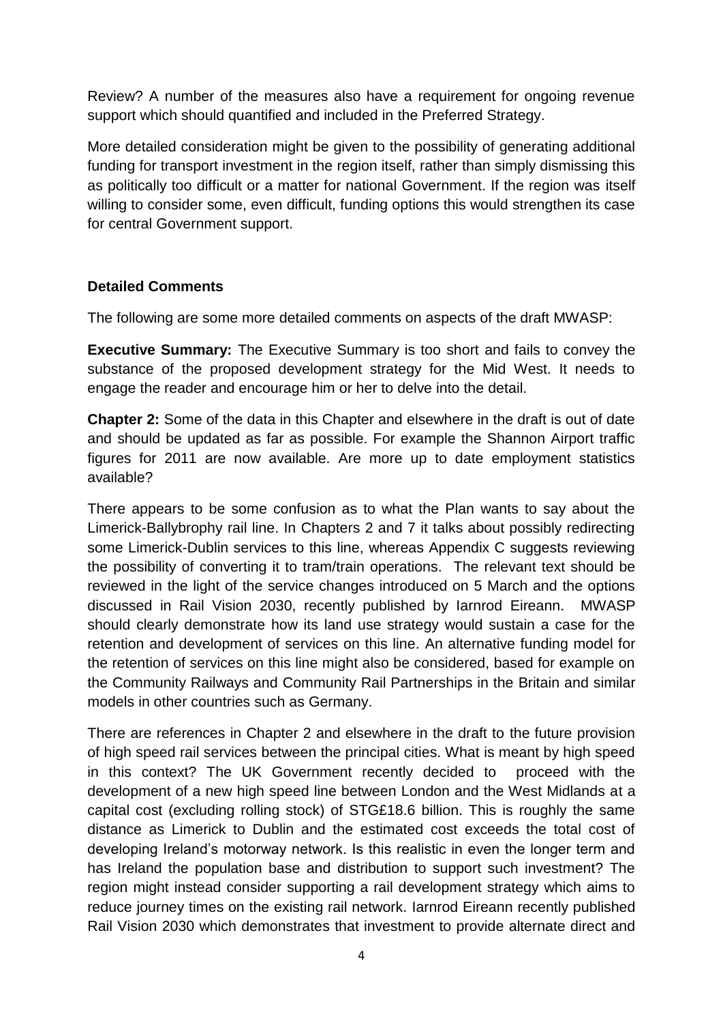Review? A number of the measures also have a requirement for ongoing revenue support which should quantified and included in the Preferred Strategy.

More detailed consideration might be given to the possibility of generating additional funding for transport investment in the region itself, rather than simply dismissing this as politically too difficult or a matter for national Government. If the region was itself willing to consider some, even difficult, funding options this would strengthen its case for central Government support.

## **Detailed Comments**

The following are some more detailed comments on aspects of the draft MWASP:

**Executive Summary:** The Executive Summary is too short and fails to convey the substance of the proposed development strategy for the Mid West. It needs to engage the reader and encourage him or her to delve into the detail.

**Chapter 2:** Some of the data in this Chapter and elsewhere in the draft is out of date and should be updated as far as possible. For example the Shannon Airport traffic figures for 2011 are now available. Are more up to date employment statistics available?

There appears to be some confusion as to what the Plan wants to say about the Limerick-Ballybrophy rail line. In Chapters 2 and 7 it talks about possibly redirecting some Limerick-Dublin services to this line, whereas Appendix C suggests reviewing the possibility of converting it to tram/train operations. The relevant text should be reviewed in the light of the service changes introduced on 5 March and the options discussed in Rail Vision 2030, recently published by Iarnrod Eireann. MWASP should clearly demonstrate how its land use strategy would sustain a case for the retention and development of services on this line. An alternative funding model for the retention of services on this line might also be considered, based for example on the Community Railways and Community Rail Partnerships in the Britain and similar models in other countries such as Germany.

There are references in Chapter 2 and elsewhere in the draft to the future provision of high speed rail services between the principal cities. What is meant by high speed in this context? The UK Government recently decided to proceed with the development of a new high speed line between London and the West Midlands at a capital cost (excluding rolling stock) of STG£18.6 billion. This is roughly the same distance as Limerick to Dublin and the estimated cost exceeds the total cost of developing Ireland's motorway network. Is this realistic in even the longer term and has Ireland the population base and distribution to support such investment? The region might instead consider supporting a rail development strategy which aims to reduce journey times on the existing rail network. Iarnrod Eireann recently published Rail Vision 2030 which demonstrates that investment to provide alternate direct and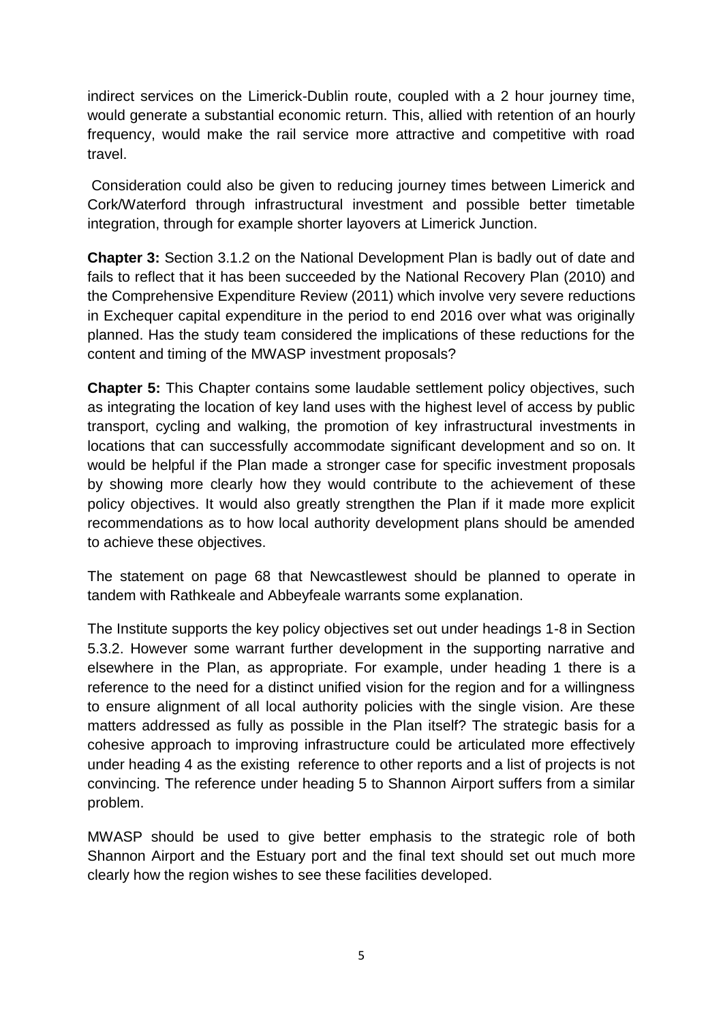indirect services on the Limerick-Dublin route, coupled with a 2 hour journey time, would generate a substantial economic return. This, allied with retention of an hourly frequency, would make the rail service more attractive and competitive with road travel.

Consideration could also be given to reducing journey times between Limerick and Cork/Waterford through infrastructural investment and possible better timetable integration, through for example shorter layovers at Limerick Junction.

**Chapter 3:** Section 3.1.2 on the National Development Plan is badly out of date and fails to reflect that it has been succeeded by the National Recovery Plan (2010) and the Comprehensive Expenditure Review (2011) which involve very severe reductions in Exchequer capital expenditure in the period to end 2016 over what was originally planned. Has the study team considered the implications of these reductions for the content and timing of the MWASP investment proposals?

**Chapter 5:** This Chapter contains some laudable settlement policy objectives, such as integrating the location of key land uses with the highest level of access by public transport, cycling and walking, the promotion of key infrastructural investments in locations that can successfully accommodate significant development and so on. It would be helpful if the Plan made a stronger case for specific investment proposals by showing more clearly how they would contribute to the achievement of these policy objectives. It would also greatly strengthen the Plan if it made more explicit recommendations as to how local authority development plans should be amended to achieve these objectives.

The statement on page 68 that Newcastlewest should be planned to operate in tandem with Rathkeale and Abbeyfeale warrants some explanation.

The Institute supports the key policy objectives set out under headings 1-8 in Section 5.3.2. However some warrant further development in the supporting narrative and elsewhere in the Plan, as appropriate. For example, under heading 1 there is a reference to the need for a distinct unified vision for the region and for a willingness to ensure alignment of all local authority policies with the single vision. Are these matters addressed as fully as possible in the Plan itself? The strategic basis for a cohesive approach to improving infrastructure could be articulated more effectively under heading 4 as the existing reference to other reports and a list of projects is not convincing. The reference under heading 5 to Shannon Airport suffers from a similar problem.

MWASP should be used to give better emphasis to the strategic role of both Shannon Airport and the Estuary port and the final text should set out much more clearly how the region wishes to see these facilities developed.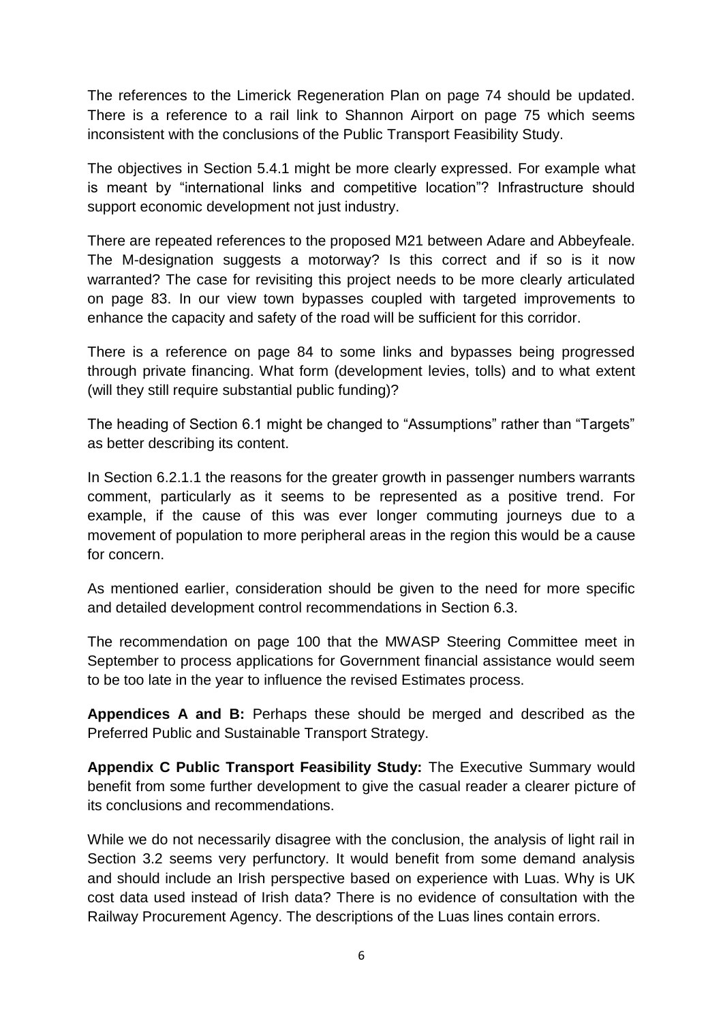The references to the Limerick Regeneration Plan on page 74 should be updated. There is a reference to a rail link to Shannon Airport on page 75 which seems inconsistent with the conclusions of the Public Transport Feasibility Study.

The objectives in Section 5.4.1 might be more clearly expressed. For example what is meant by "international links and competitive location"? Infrastructure should support economic development not just industry.

There are repeated references to the proposed M21 between Adare and Abbeyfeale. The M-designation suggests a motorway? Is this correct and if so is it now warranted? The case for revisiting this project needs to be more clearly articulated on page 83. In our view town bypasses coupled with targeted improvements to enhance the capacity and safety of the road will be sufficient for this corridor.

There is a reference on page 84 to some links and bypasses being progressed through private financing. What form (development levies, tolls) and to what extent (will they still require substantial public funding)?

The heading of Section 6.1 might be changed to "Assumptions" rather than "Targets" as better describing its content.

In Section 6.2.1.1 the reasons for the greater growth in passenger numbers warrants comment, particularly as it seems to be represented as a positive trend. For example, if the cause of this was ever longer commuting journeys due to a movement of population to more peripheral areas in the region this would be a cause for concern.

As mentioned earlier, consideration should be given to the need for more specific and detailed development control recommendations in Section 6.3.

The recommendation on page 100 that the MWASP Steering Committee meet in September to process applications for Government financial assistance would seem to be too late in the year to influence the revised Estimates process.

**Appendices A and B:** Perhaps these should be merged and described as the Preferred Public and Sustainable Transport Strategy.

**Appendix C Public Transport Feasibility Study:** The Executive Summary would benefit from some further development to give the casual reader a clearer picture of its conclusions and recommendations.

While we do not necessarily disagree with the conclusion, the analysis of light rail in Section 3.2 seems very perfunctory. It would benefit from some demand analysis and should include an Irish perspective based on experience with Luas. Why is UK cost data used instead of Irish data? There is no evidence of consultation with the Railway Procurement Agency. The descriptions of the Luas lines contain errors.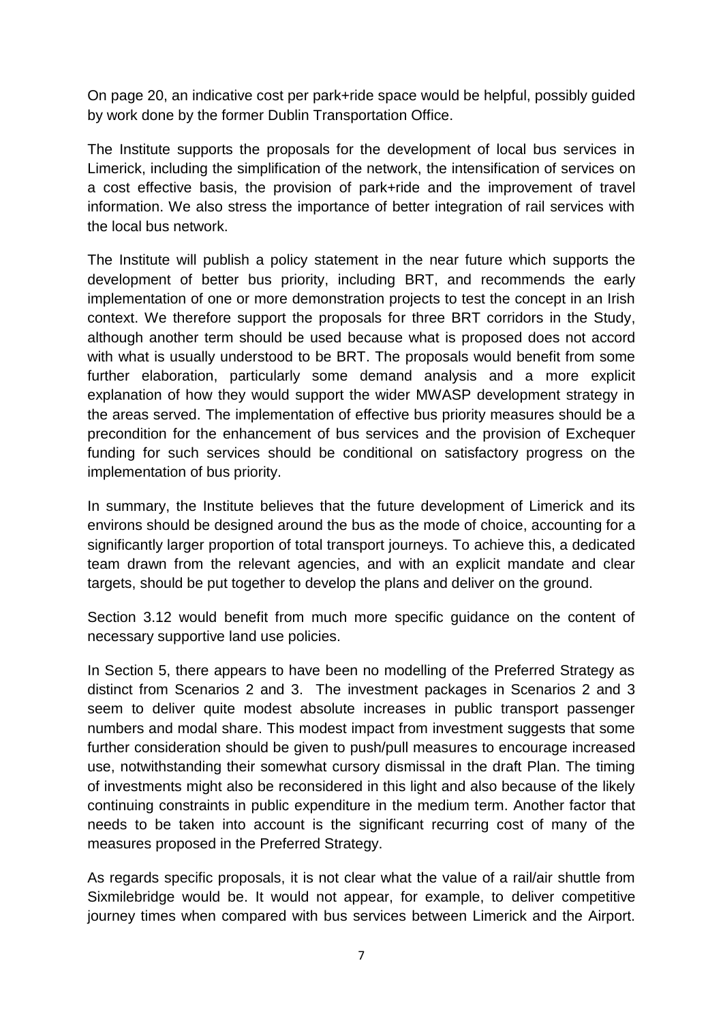On page 20, an indicative cost per park+ride space would be helpful, possibly guided by work done by the former Dublin Transportation Office.

The Institute supports the proposals for the development of local bus services in Limerick, including the simplification of the network, the intensification of services on a cost effective basis, the provision of park+ride and the improvement of travel information. We also stress the importance of better integration of rail services with the local bus network.

The Institute will publish a policy statement in the near future which supports the development of better bus priority, including BRT, and recommends the early implementation of one or more demonstration projects to test the concept in an Irish context. We therefore support the proposals for three BRT corridors in the Study, although another term should be used because what is proposed does not accord with what is usually understood to be BRT. The proposals would benefit from some further elaboration, particularly some demand analysis and a more explicit explanation of how they would support the wider MWASP development strategy in the areas served. The implementation of effective bus priority measures should be a precondition for the enhancement of bus services and the provision of Exchequer funding for such services should be conditional on satisfactory progress on the implementation of bus priority.

In summary, the Institute believes that the future development of Limerick and its environs should be designed around the bus as the mode of choice, accounting for a significantly larger proportion of total transport journeys. To achieve this, a dedicated team drawn from the relevant agencies, and with an explicit mandate and clear targets, should be put together to develop the plans and deliver on the ground.

Section 3.12 would benefit from much more specific guidance on the content of necessary supportive land use policies.

In Section 5, there appears to have been no modelling of the Preferred Strategy as distinct from Scenarios 2 and 3. The investment packages in Scenarios 2 and 3 seem to deliver quite modest absolute increases in public transport passenger numbers and modal share. This modest impact from investment suggests that some further consideration should be given to push/pull measures to encourage increased use, notwithstanding their somewhat cursory dismissal in the draft Plan. The timing of investments might also be reconsidered in this light and also because of the likely continuing constraints in public expenditure in the medium term. Another factor that needs to be taken into account is the significant recurring cost of many of the measures proposed in the Preferred Strategy.

As regards specific proposals, it is not clear what the value of a rail/air shuttle from Sixmilebridge would be. It would not appear, for example, to deliver competitive journey times when compared with bus services between Limerick and the Airport.